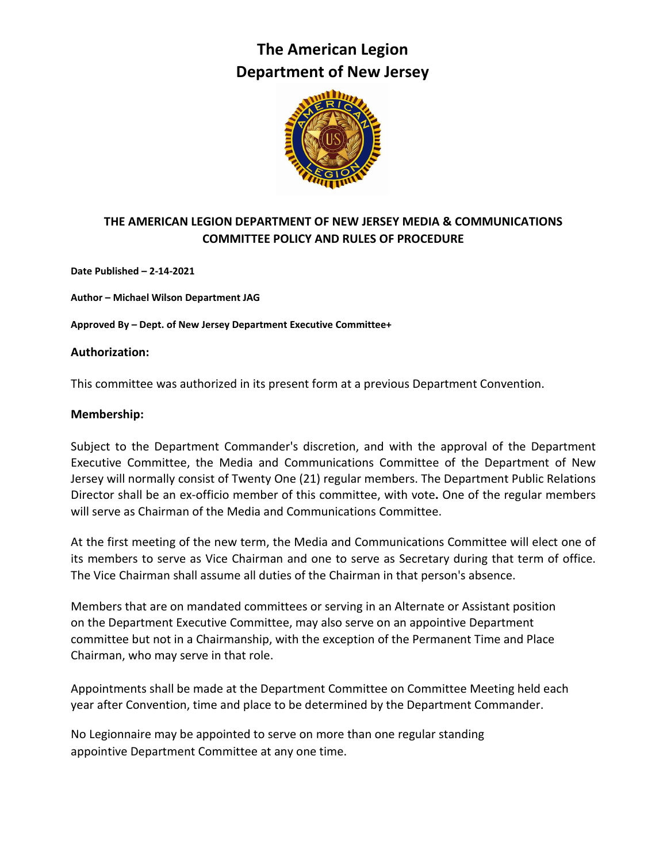# **The American Legion Department of New Jersey**



# **THE AMERICAN LEGION DEPARTMENT OF NEW JERSEY MEDIA & COMMUNICATIONS COMMITTEE POLICY AND RULES OF PROCEDURE**

**Date Published – 2-14-2021**

**Author – Michael Wilson Department JAG**

**Approved By – Dept. of New Jersey Department Executive Committee+**

#### **Authorization:**

This committee was authorized in its present form at a previous Department Convention.

#### **Membership:**

Subject to the Department Commander's discretion, and with the approval of the Department Executive Committee, the Media and Communications Committee of the Department of New Jersey will normally consist of Twenty One (21) regular members. The Department Public Relations Director shall be an ex-officio member of this committee, with vote**.** One of the regular members will serve as Chairman of the Media and Communications Committee.

At the first meeting of the new term, the Media and Communications Committee will elect one of its members to serve as Vice Chairman and one to serve as Secretary during that term of office. The Vice Chairman shall assume all duties of the Chairman in that person's absence.

Members that are on mandated committees or serving in an Alternate or Assistant position on the Department Executive Committee, may also serve on an appointive Department committee but not in a Chairmanship, with the exception of the Permanent Time and Place Chairman, who may serve in that role.

Appointments shall be made at the Department Committee on Committee Meeting held each year after Convention, time and place to be determined by the Department Commander.

No Legionnaire may be appointed to serve on more than one regular standing appointive Department Committee at any one time.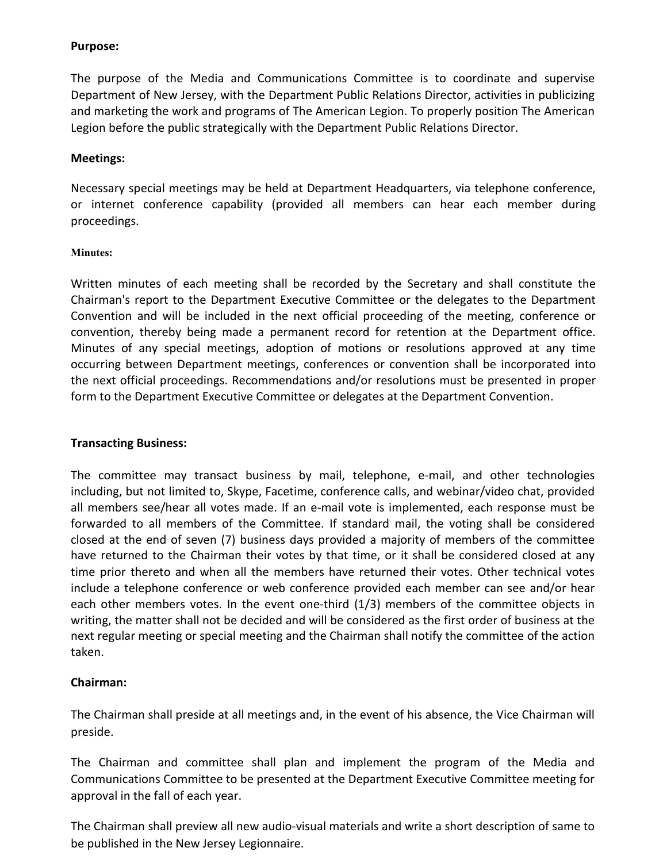#### **Purpose:**

The purpose of the Media and Communications Committee is to coordinate and supervise Department of New Jersey, with the Department Public Relations Director, activities in publicizing and marketing the work and programs of The American Legion. To properly position The American Legion before the public strategically with the Department Public Relations Director.

## **Meetings:**

Necessary special meetings may be held at Department Headquarters, via telephone conference, or internet conference capability (provided all members can hear each member during proceedings.

## **Minutes:**

Written minutes of each meeting shall be recorded by the Secretary and shall constitute the Chairman's report to the Department Executive Committee or the delegates to the Department Convention and will be included in the next official proceeding of the meeting, conference or convention, thereby being made a permanent record for retention at the Department office. Minutes of any special meetings, adoption of motions or resolutions approved at any time occurring between Department meetings, conferences or convention shall be incorporated into the next official proceedings. Recommendations and/or resolutions must be presented in proper form to the Department Executive Committee or delegates at the Department Convention.

# **Transacting Business:**

The committee may transact business by mail, telephone, e-mail, and other technologies including, but not limited to, Skype, Facetime, conference calls, and webinar/video chat, provided all members see/hear all votes made. If an e-mail vote is implemented, each response must be forwarded to all members of the Committee. If standard mail, the voting shall be considered closed at the end of seven (7) business days provided a majority of members of the committee have returned to the Chairman their votes by that time, or it shall be considered closed at any time prior thereto and when all the members have returned their votes. Other technical votes include a telephone conference or web conference provided each member can see and/or hear each other members votes. In the event one-third (1/3) members of the committee objects in writing, the matter shall not be decided and will be considered as the first order of business at the next regular meeting or special meeting and the Chairman shall notify the committee of the action taken.

# **Chairman:**

The Chairman shall preside at all meetings and, in the event of his absence, the Vice Chairman will preside.

The Chairman and committee shall plan and implement the program of the Media and Communications Committee to be presented at the Department Executive Committee meeting for approval in the fall of each year.

The Chairman shall preview all new audio-visual materials and write a short description of same to be published in the New Jersey Legionnaire.